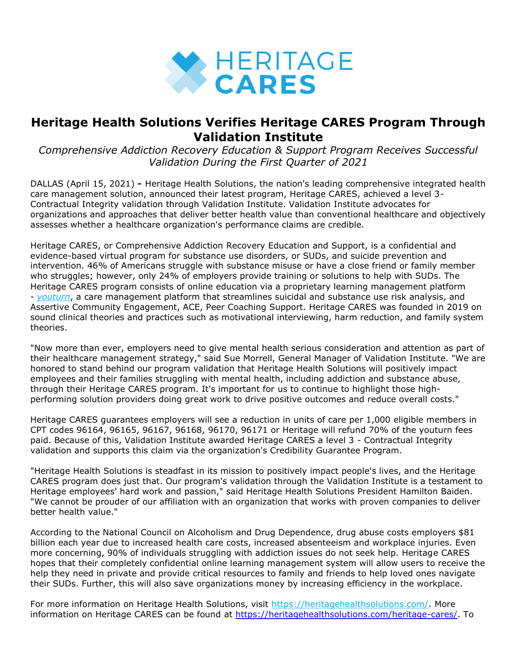

# **Heritage Health Solutions Verifies Heritage CARES Program Through Validation Institute**

*Comprehensive Addiction Recovery Education & Support Program Receives Successful Validation During the First Quarter of 2021*

DALLAS (April 15, 2021) **-** Heritage Health Solutions, the nation's leading comprehensive integrated health care management solution, announced their latest program, Heritage CARES, achieved a level 3- Contractual Integrity validation through Validation Institute. Validation Institute advocates for organizations and approaches that deliver better health value than conventional healthcare and objectively assesses whether a healthcare organization's performance claims are credible.

Heritage CARES, or Comprehensive Addiction Recovery Education and Support, is a confidential and evidence-based virtual program for substance use disorders, or SUDs, and suicide prevention and intervention. 46% of Americans struggle with substance misuse or have a close friend or family member who struggles; however, only 24% of employers provide training or solutions to help with SUDs. The Heritage CARES program consists of online education via a proprietary learning management platform - *[youturn](https://pr.report/W1rMECNw)*, a care management platform that streamlines suicidal and substance use risk analysis, and Assertive Community Engagement, ACE, Peer Coaching Support. Heritage CARES was founded in 2019 on sound clinical theories and practices such as motivational interviewing, harm reduction, and family system theories.

"Now more than ever, employers need to give mental health serious consideration and attention as part of their healthcare management strategy," said Sue Morrell, General Manager of Validation Institute. "We are honored to stand behind our program validation that Heritage Health Solutions will positively impact employees and their families struggling with mental health, including addiction and substance abuse, through their Heritage CARES program. It's important for us to continue to highlight those highperforming solution providers doing great work to drive positive outcomes and reduce overall costs."

Heritage CARES guarantees employers will see a reduction in units of care per 1,000 eligible members in CPT codes 96164, 96165, 96167, 96168, 96170, 96171 or Heritage will refund 70% of the youturn fees paid. Because of this, Validation Institute awarded Heritage CARES a level 3 - Contractual Integrity validation and supports this claim via the organization's Credibility Guarantee Program.

"Heritage Health Solutions is steadfast in its mission to positively impact people's lives, and the Heritage CARES program does just that. Our program's validation through the Validation Institute is a testament to Heritage employees' hard work and passion," said Heritage Health Solutions President Hamilton Baiden. "We cannot be prouder of our affiliation with an organization that works with proven companies to deliver better health value."

According to the National Council on Alcoholism and Drug Dependence, drug abuse costs employers \$81 billion each year due to increased health care costs, increased absenteeism and workplace injuries. Even more concerning, 90% of individuals struggling with addiction issues do not seek help. Heritage CARES hopes that their completely confidential online learning management system will allow users to receive the help they need in private and provide critical resources to family and friends to help loved ones navigate their SUDs. Further, this will also save organizations money by increasing efficiency in the workplace.

For more information on Heritage Health Solutions, visit [https://heritagehealthsolutions.com/.](https://pr.report/6RZzqADL) More information on Heritage CARES can be found at [https://heritagehealthsolutions.com/heritage-cares/.](https://heritagehealthsolutions.com/heritage-cares/) To